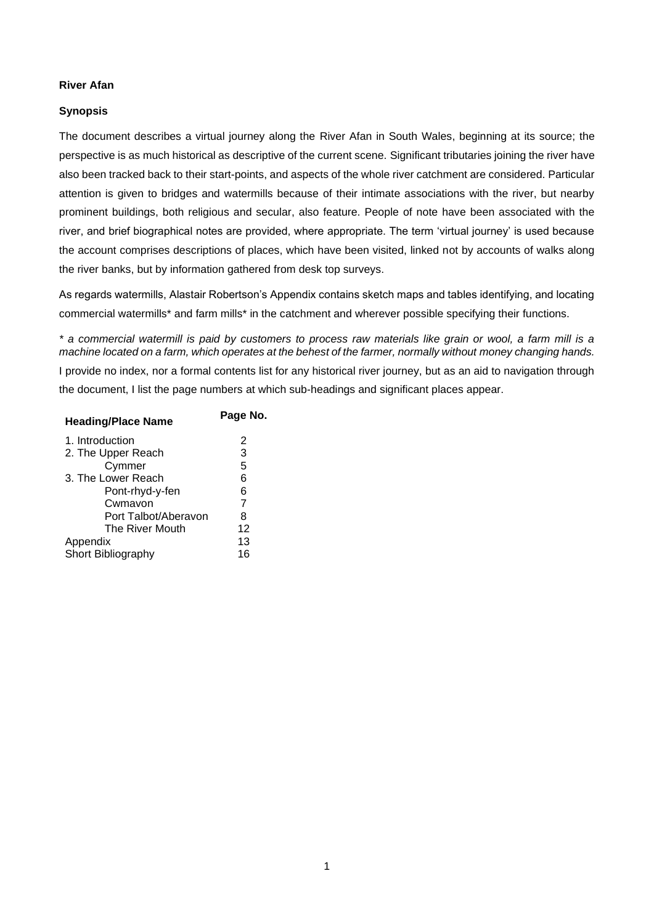## **River Afan**

## **Synopsis**

The document describes a virtual journey along the River Afan in South Wales, beginning at its source; the perspective is as much historical as descriptive of the current scene. Significant tributaries joining the river have also been tracked back to their start-points, and aspects of the whole river catchment are considered. Particular attention is given to bridges and watermills because of their intimate associations with the river, but nearby prominent buildings, both religious and secular, also feature. People of note have been associated with the river, and brief biographical notes are provided, where appropriate. The term 'virtual journey' is used because the account comprises descriptions of places, which have been visited, linked not by accounts of walks along the river banks, but by information gathered from desk top surveys.

As regards watermills, Alastair Robertson's Appendix contains sketch maps and tables identifying, and locating commercial watermills\* and farm mills\* in the catchment and wherever possible specifying their functions.

*\* a commercial watermill is paid by customers to process raw materials like grain or wool, a farm mill is a machine located on a farm, which operates at the behest of the farmer, normally without money changing hands.*

I provide no index, nor a formal contents list for any historical river journey, but as an aid to navigation through the document, I list the page numbers at which sub-headings and significant places appear.

| Page No. |
|----------|
| 2        |
| 3        |
| 5        |
| 6        |
| 6        |
| 7        |
| 8        |
| 12       |
| 13       |
| 16       |
|          |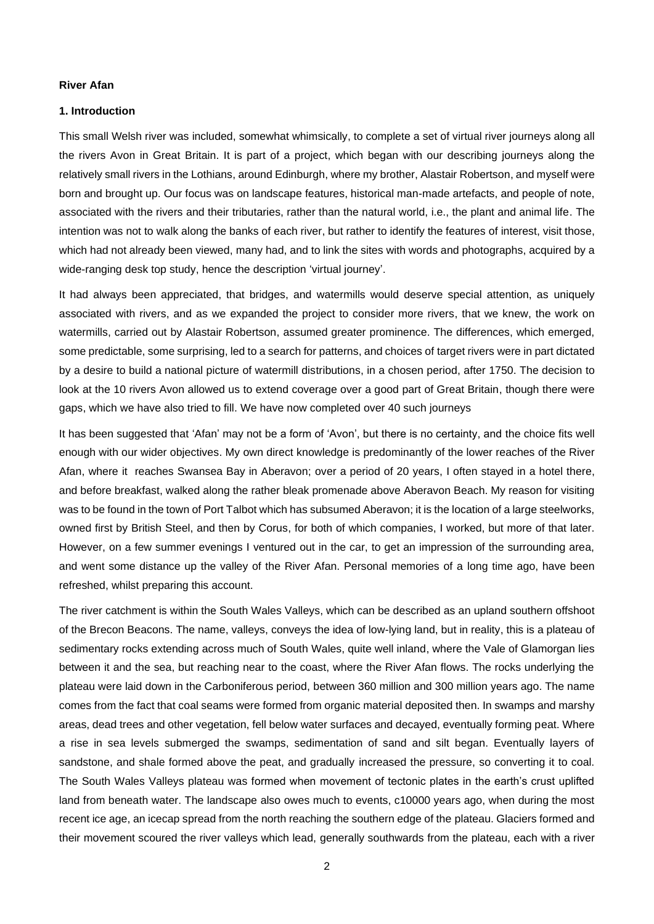#### **River Afan**

#### **1. Introduction**

This small Welsh river was included, somewhat whimsically, to complete a set of virtual river journeys along all the rivers Avon in Great Britain. It is part of a project, which began with our describing journeys along the relatively small rivers in the Lothians, around Edinburgh, where my brother, Alastair Robertson, and myself were born and brought up. Our focus was on landscape features, historical man-made artefacts, and people of note, associated with the rivers and their tributaries, rather than the natural world, i.e., the plant and animal life. The intention was not to walk along the banks of each river, but rather to identify the features of interest, visit those, which had not already been viewed, many had, and to link the sites with words and photographs, acquired by a wide-ranging desk top study, hence the description 'virtual journey'.

It had always been appreciated, that bridges, and watermills would deserve special attention, as uniquely associated with rivers, and as we expanded the project to consider more rivers, that we knew, the work on watermills, carried out by Alastair Robertson, assumed greater prominence. The differences, which emerged, some predictable, some surprising, led to a search for patterns, and choices of target rivers were in part dictated by a desire to build a national picture of watermill distributions, in a chosen period, after 1750. The decision to look at the 10 rivers Avon allowed us to extend coverage over a good part of Great Britain, though there were gaps, which we have also tried to fill. We have now completed over 40 such journeys

It has been suggested that 'Afan' may not be a form of 'Avon', but there is no certainty, and the choice fits well enough with our wider objectives. My own direct knowledge is predominantly of the lower reaches of the River Afan, where it reaches Swansea Bay in Aberavon; over a period of 20 years, I often stayed in a hotel there, and before breakfast, walked along the rather bleak promenade above Aberavon Beach. My reason for visiting was to be found in the town of Port Talbot which has subsumed Aberavon; it is the location of a large steelworks, owned first by British Steel, and then by Corus, for both of which companies, I worked, but more of that later. However, on a few summer evenings I ventured out in the car, to get an impression of the surrounding area, and went some distance up the valley of the River Afan. Personal memories of a long time ago, have been refreshed, whilst preparing this account.

The river catchment is within the South Wales Valleys, which can be described as an upland southern offshoot of the Brecon Beacons. The name, valleys, conveys the idea of low-lying land, but in reality, this is a plateau of sedimentary rocks extending across much of South Wales, quite well inland, where the Vale of Glamorgan lies between it and the sea, but reaching near to the coast, where the River Afan flows. The rocks underlying the plateau were laid down in the Carboniferous period, between 360 million and 300 million years ago. The name comes from the fact that coal seams were formed from organic material deposited then. In swamps and marshy areas, dead trees and other vegetation, fell below water surfaces and decayed, eventually forming peat. Where a rise in sea levels submerged the swamps, sedimentation of sand and silt began. Eventually layers of sandstone, and shale formed above the peat, and gradually increased the pressure, so converting it to coal. The South Wales Valleys plateau was formed when movement of tectonic plates in the earth's crust uplifted land from beneath water. The landscape also owes much to events, c10000 years ago, when during the most recent ice age, an icecap spread from the north reaching the southern edge of the plateau. Glaciers formed and their movement scoured the river valleys which lead, generally southwards from the plateau, each with a river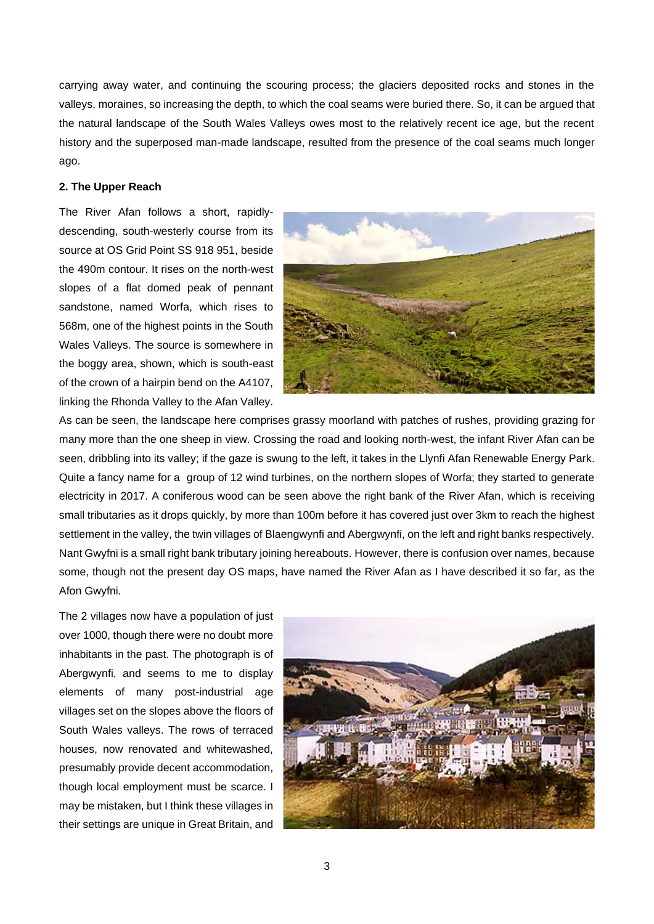carrying away water, and continuing the scouring process; the glaciers deposited rocks and stones in the valleys, moraines, so increasing the depth, to which the coal seams were buried there. So, it can be argued that the natural landscape of the South Wales Valleys owes most to the relatively recent ice age, but the recent history and the superposed man-made landscape, resulted from the presence of the coal seams much longer ago.

### **2. The Upper Reach**

The River Afan follows a short, rapidlydescending, south-westerly course from its source at OS Grid Point SS 918 951, beside the 490m contour. It rises on the north-west slopes of a flat domed peak of pennant sandstone, named Worfa, which rises to 568m, one of the highest points in the South Wales Valleys. The source is somewhere in the boggy area, shown, which is south-east of the crown of a hairpin bend on the A4107, linking the Rhonda Valley to the Afan Valley.



As can be seen, the landscape here comprises grassy moorland with patches of rushes, providing grazing for many more than the one sheep in view. Crossing the road and looking north-west, the infant River Afan can be seen, dribbling into its valley; if the gaze is swung to the left, it takes in the Llynfi Afan Renewable Energy Park. Quite a fancy name for a group of 12 wind turbines, on the northern slopes of Worfa; they started to generate electricity in 2017. A coniferous wood can be seen above the right bank of the River Afan, which is receiving small tributaries as it drops quickly, by more than 100m before it has covered just over 3km to reach the highest settlement in the valley, the twin villages of Blaengwynfi and Abergwynfi, on the left and right banks respectively. Nant Gwyfni is a small right bank tributary joining hereabouts. However, there is confusion over names, because some, though not the present day OS maps, have named the River Afan as I have described it so far, as the Afon Gwyfni.

The 2 villages now have a population of just over 1000, though there were no doubt more inhabitants in the past. The photograph is of Abergwynfi, and seems to me to display elements of many post-industrial age villages set on the slopes above the floors of South Wales valleys. The rows of terraced houses, now renovated and whitewashed, presumably provide decent accommodation, though local employment must be scarce. I may be mistaken, but I think these villages in their settings are unique in Great Britain, and

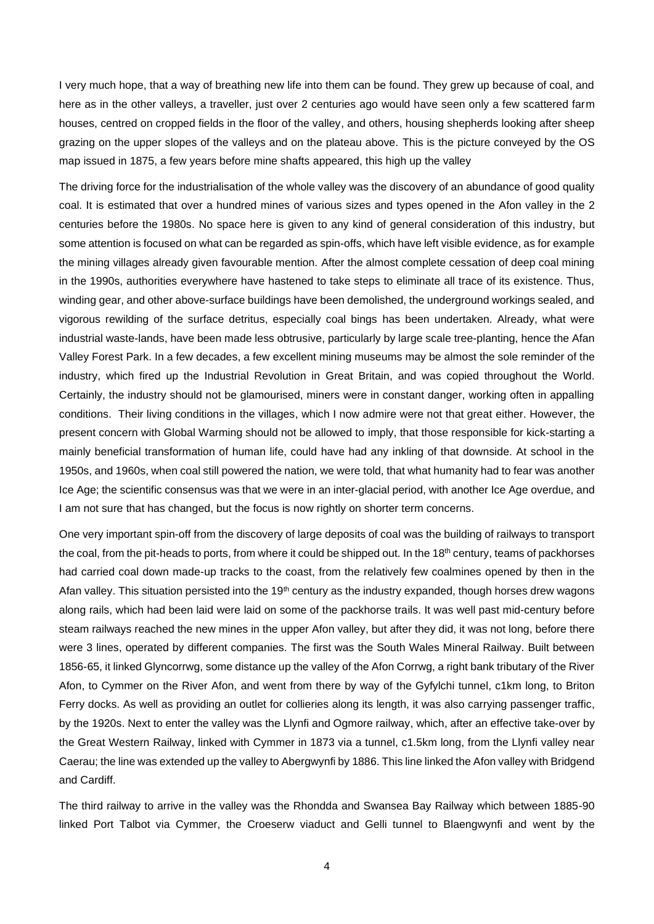I very much hope, that a way of breathing new life into them can be found. They grew up because of coal, and here as in the other valleys, a traveller, just over 2 centuries ago would have seen only a few scattered farm houses, centred on cropped fields in the floor of the valley, and others, housing shepherds looking after sheep grazing on the upper slopes of the valleys and on the plateau above. This is the picture conveyed by the OS map issued in 1875, a few years before mine shafts appeared, this high up the valley

The driving force for the industrialisation of the whole valley was the discovery of an abundance of good quality coal. It is estimated that over a hundred mines of various sizes and types opened in the Afon valley in the 2 centuries before the 1980s. No space here is given to any kind of general consideration of this industry, but some attention is focused on what can be regarded as spin-offs, which have left visible evidence, as for example the mining villages already given favourable mention. After the almost complete cessation of deep coal mining in the 1990s, authorities everywhere have hastened to take steps to eliminate all trace of its existence. Thus, winding gear, and other above-surface buildings have been demolished, the underground workings sealed, and vigorous rewilding of the surface detritus, especially coal bings has been undertaken. Already, what were industrial waste-lands, have been made less obtrusive, particularly by large scale tree-planting, hence the Afan Valley Forest Park. In a few decades, a few excellent mining museums may be almost the sole reminder of the industry, which fired up the Industrial Revolution in Great Britain, and was copied throughout the World. Certainly, the industry should not be glamourised, miners were in constant danger, working often in appalling conditions. Their living conditions in the villages, which I now admire were not that great either. However, the present concern with Global Warming should not be allowed to imply, that those responsible for kick-starting a mainly beneficial transformation of human life, could have had any inkling of that downside. At school in the 1950s, and 1960s, when coal still powered the nation, we were told, that what humanity had to fear was another Ice Age; the scientific consensus was that we were in an inter-glacial period, with another Ice Age overdue, and I am not sure that has changed, but the focus is now rightly on shorter term concerns.

One very important spin-off from the discovery of large deposits of coal was the building of railways to transport the coal, from the pit-heads to ports, from where it could be shipped out. In the 18<sup>th</sup> century, teams of packhorses had carried coal down made-up tracks to the coast, from the relatively few coalmines opened by then in the Afan valley. This situation persisted into the  $19<sup>th</sup>$  century as the industry expanded, though horses drew wagons along rails, which had been laid were laid on some of the packhorse trails. It was well past mid-century before steam railways reached the new mines in the upper Afon valley, but after they did, it was not long, before there were 3 lines, operated by different companies. The first was the South Wales Mineral Railway. Built between 1856-65, it linked Glyncorrwg, some distance up the valley of the Afon Corrwg, a right bank tributary of the River Afon, to Cymmer on the River Afon, and went from there by way of the Gyfylchi tunnel, c1km long, to Briton Ferry docks. As well as providing an outlet for collieries along its length, it was also carrying passenger traffic, by the 1920s. Next to enter the valley was the Llynfi and Ogmore railway, which, after an effective take-over by the Great Western Railway, linked with Cymmer in 1873 via a tunnel, c1.5km long, from the Llynfi valley near Caerau; the line was extended up the valley to Abergwynfi by 1886. This line linked the Afon valley with Bridgend and Cardiff.

The third railway to arrive in the valley was the Rhondda and Swansea Bay Railway which between 1885-90 linked Port Talbot via Cymmer, the Croeserw viaduct and Gelli tunnel to Blaengwynfi and went by the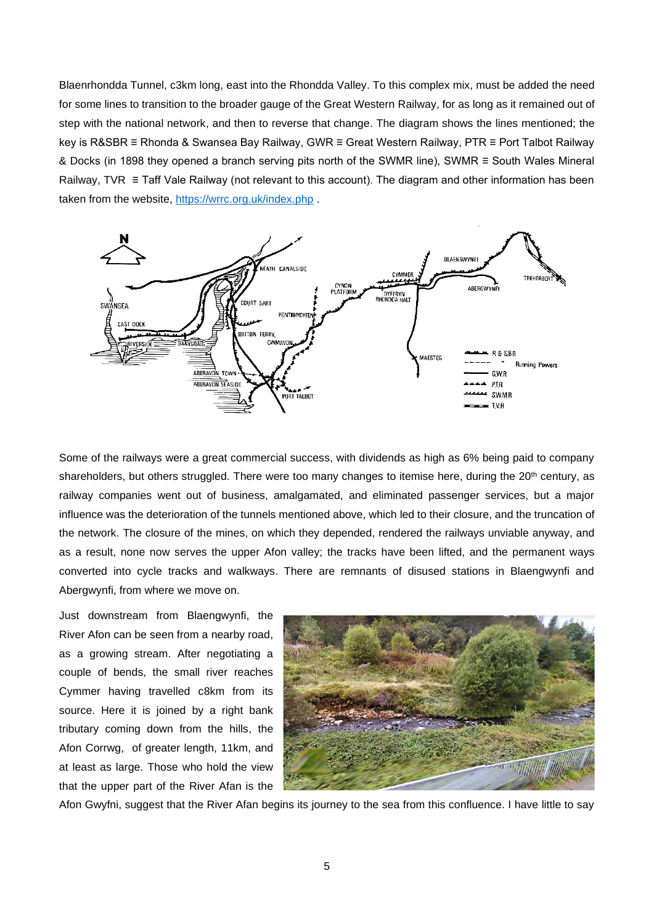Blaenrhondda Tunnel, c3km long, east into the Rhondda Valley. To this complex mix, must be added the need for some lines to transition to the broader gauge of the Great Western Railway, for as long as it remained out of step with the national network, and then to reverse that change. The diagram shows the lines mentioned; the key is R&SBR ≡ Rhonda & Swansea Bay Railway, GWR ≡ Great Western Railway, PTR ≡ Port Talbot Railway & Docks (in 1898 they opened a branch serving pits north of the SWMR line), SWMR ≡ South Wales Mineral Railway, TVR ≡ Taff Vale Railway (not relevant to this account). The diagram and other information has been taken from the website,<https://wrrc.org.uk/index.php> .



Some of the railways were a great commercial success, with dividends as high as 6% being paid to company shareholders, but others struggled. There were too many changes to itemise here, during the 20<sup>th</sup> century, as railway companies went out of business, amalgamated, and eliminated passenger services, but a major influence was the deterioration of the tunnels mentioned above, which led to their closure, and the truncation of the network. The closure of the mines, on which they depended, rendered the railways unviable anyway, and as a result, none now serves the upper Afon valley; the tracks have been lifted, and the permanent ways converted into cycle tracks and walkways. There are remnants of disused stations in Blaengwynfi and Abergwynfi, from where we move on.

Just downstream from Blaengwynfi, the River Afon can be seen from a nearby road, as a growing stream. After negotiating a couple of bends, the small river reaches Cymmer having travelled c8km from its source. Here it is joined by a right bank tributary coming down from the hills, the Afon Corrwg, of greater length, 11km, and at least as large. Those who hold the view that the upper part of the River Afan is the



Afon Gwyfni, suggest that the River Afan begins its journey to the sea from this confluence. I have little to say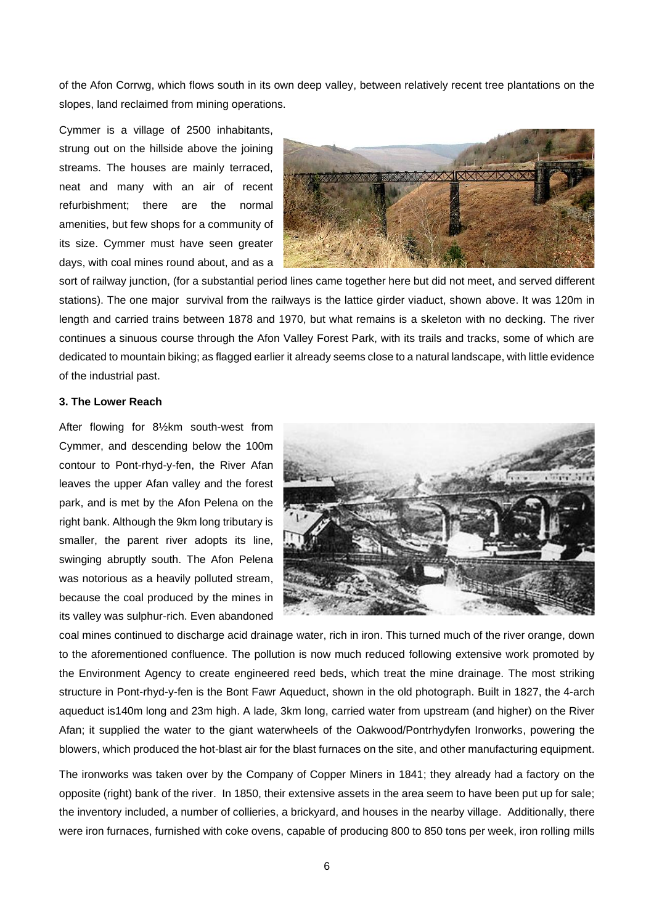of the Afon Corrwg, which flows south in its own deep valley, between relatively recent tree plantations on the slopes, land reclaimed from mining operations.

Cymmer is a village of 2500 inhabitants, strung out on the hillside above the joining streams. The houses are mainly terraced, neat and many with an air of recent refurbishment; there are the normal amenities, but few shops for a community of its size. Cymmer must have seen greater days, with coal mines round about, and as a



sort of railway junction, (for a substantial period lines came together here but did not meet, and served different stations). The one major survival from the railways is the lattice girder viaduct, shown above. It was 120m in length and carried trains between 1878 and 1970, but what remains is a skeleton with no decking. The river continues a sinuous course through the Afon Valley Forest Park, with its trails and tracks, some of which are dedicated to mountain biking; as flagged earlier it already seems close to a natural landscape, with little evidence of the industrial past.

### **3. The Lower Reach**

After flowing for 8½km south-west from Cymmer, and descending below the 100m contour to Pont-rhyd-y-fen, the River Afan leaves the upper Afan valley and the forest park, and is met by the Afon Pelena on the right bank. Although the 9km long tributary is smaller, the parent river adopts its line, swinging abruptly south. The Afon Pelena was notorious as a heavily polluted stream, because the coal produced by the mines in its valley was sulphur-rich. Even abandoned



coal mines continued to discharge acid drainage water, rich in iron. This turned much of the river orange, down to the aforementioned confluence. The pollution is now much reduced following extensive work promoted by the Environment Agency to create engineered reed beds, which treat the mine drainage. The most striking structure in Pont-rhyd-y-fen is the Bont Fawr Aqueduct, shown in the old photograph. Built in 1827, the 4-arch aqueduct is140m long and 23m high. A lade, 3km long, carried water from upstream (and higher) on the River Afan; it supplied the water to the giant waterwheels of the Oakwood/Pontrhydyfen Ironworks, powering the blowers, which produced the hot-blast air for the blast furnaces on the site, and other manufacturing equipment.

The ironworks was taken over by the Company of Copper Miners in 1841; they already had a factory on the opposite (right) bank of the river. In 1850, their extensive assets in the area seem to have been put up for sale; the inventory included, a number of collieries, a brickyard, and houses in the nearby village. Additionally, there were iron furnaces, furnished with coke ovens, capable of producing 800 to 850 tons per week, iron rolling mills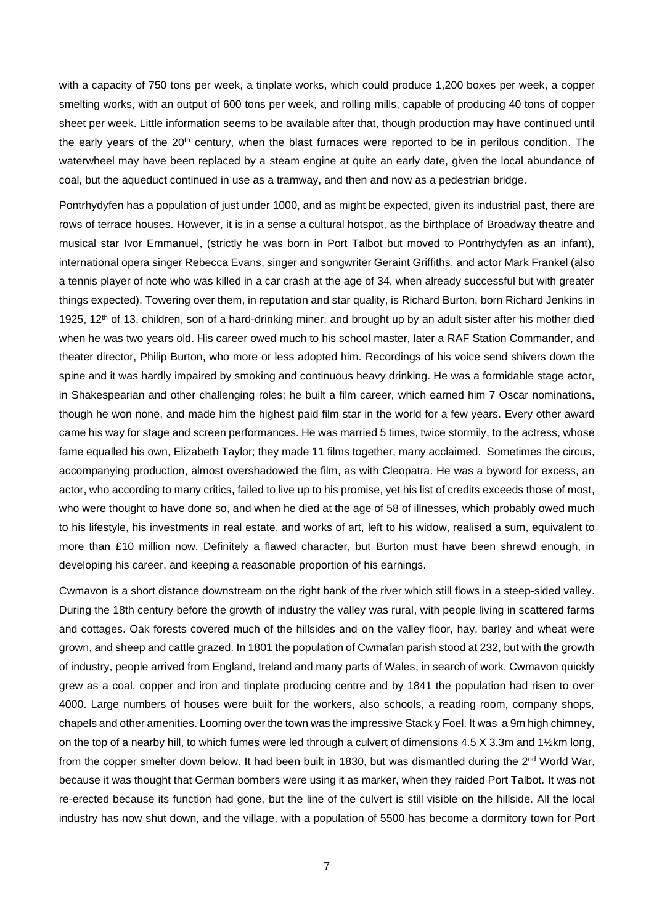with a capacity of 750 tons per week, a tinplate works, which could produce 1,200 boxes per week, a copper smelting works, with an output of 600 tons per week, and rolling mills, capable of producing 40 tons of copper sheet per week. Little information seems to be available after that, though production may have continued until the early years of the 20<sup>th</sup> century, when the blast furnaces were reported to be in perilous condition. The waterwheel may have been replaced by a steam engine at quite an early date, given the local abundance of coal, but the aqueduct continued in use as a tramway, and then and now as a pedestrian bridge.

Pontrhydyfen has a population of just under 1000, and as might be expected, given its industrial past, there are rows of terrace houses. However, it is in a sense a cultural hotspot, as the birthplace of Broadway theatre and musical star Ivor Emmanuel, (strictly he was born in Port Talbot but moved to Pontrhydyfen as an infant), international opera singer Rebecca Evans, singer and songwriter Geraint Griffiths, and actor Mark Frankel (also a tennis player of note who was killed in a car crash at the age of 34, when already successful but with greater things expected). Towering over them, in reputation and star quality, is Richard Burton, born Richard Jenkins in 1925, 12<sup>th</sup> of 13, children, son of a hard-drinking miner, and brought up by an adult sister after his mother died when he was two years old. His career owed much to his school master, later a RAF Station Commander, and theater director, Philip Burton, who more or less adopted him. Recordings of his voice send shivers down the spine and it was hardly impaired by smoking and continuous heavy drinking. He was a formidable stage actor, in Shakespearian and other challenging roles; he built a film career, which earned him 7 Oscar nominations, though he won none, and made him the highest paid film star in the world for a few years. Every other award came his way for stage and screen performances. He was married 5 times, twice stormily, to the actress, whose fame equalled his own, Elizabeth Taylor; they made 11 films together, many acclaimed. Sometimes the circus, accompanying production, almost overshadowed the film, as with Cleopatra. He was a byword for excess, an actor, who according to many critics, failed to live up to his promise, yet his list of credits exceeds those of most, who were thought to have done so, and when he died at the age of 58 of illnesses, which probably owed much to his lifestyle, his investments in real estate, and works of art, left to his widow, realised a sum, equivalent to more than £10 million now. Definitely a flawed character, but Burton must have been shrewd enough, in developing his career, and keeping a reasonable proportion of his earnings.

Cwmavon is a short distance downstream on the right bank of the river which still flows in a steep-sided valley. During the 18th century before the growth of industry the valley was rural, with people living in scattered farms and cottages. Oak forests covered much of the hillsides and on the valley floor, hay, barley and wheat were grown, and sheep and cattle grazed. In 1801 the population of Cwmafan parish stood at 232, but with the growth of industry, people arrived from England, Ireland and many parts of Wales, in search of work. Cwmavon quickly grew as a coal, copper and iron and tinplate producing centre and by 1841 the population had risen to over 4000. Large numbers of houses were built for the workers, also schools, a reading room, company shops, chapels and other amenities. Looming over the town was the impressive Stack y Foel. It was a 9m high chimney, on the top of a nearby hill, to which fumes were led through a culvert of dimensions 4.5 X 3.3m and 1½km long, from the copper smelter down below. It had been built in 1830, but was dismantled during the 2<sup>nd</sup> World War, because it was thought that German bombers were using it as marker, when they raided Port Talbot. It was not re-erected because its function had gone, but the line of the culvert is still visible on the hillside. All the local industry has now shut down, and the village, with a population of 5500 has become a dormitory town for Port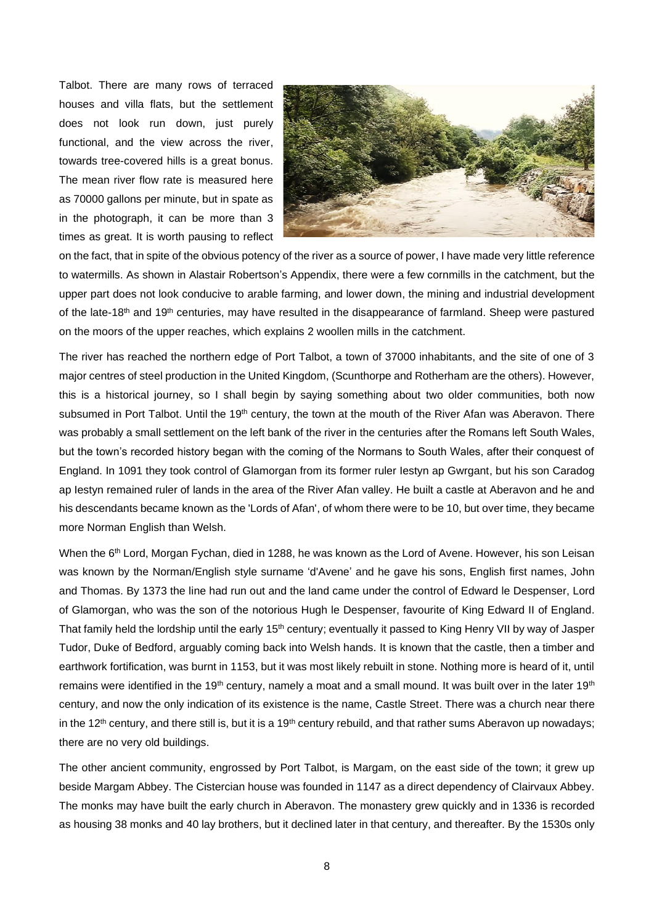Talbot. There are many rows of terraced houses and villa flats, but the settlement does not look run down, just purely functional, and the view across the river, towards tree-covered hills is a great bonus. The mean river flow rate is measured here as 70000 gallons per minute, but in spate as in the photograph, it can be more than 3 times as great. It is worth pausing to reflect



on the fact, that in spite of the obvious potency of the river as a source of power, I have made very little reference to watermills. As shown in Alastair Robertson's Appendix, there were a few cornmills in the catchment, but the upper part does not look conducive to arable farming, and lower down, the mining and industrial development of the late-18<sup>th</sup> and 19<sup>th</sup> centuries, may have resulted in the disappearance of farmland. Sheep were pastured on the moors of the upper reaches, which explains 2 woollen mills in the catchment.

The river has reached the northern edge of Port Talbot, a town of 37000 inhabitants, and the site of one of 3 major centres of steel production in the United Kingdom, (Scunthorpe and Rotherham are the others). However, this is a historical journey, so I shall begin by saying something about two older communities, both now subsumed in Port Talbot. Until the 19<sup>th</sup> century, the town at the mouth of the River Afan was Aberavon. There was probably a small settlement on the left bank of the river in the centuries after the Romans left South Wales, but the town's recorded history began with the coming of the Normans to South Wales, after their conquest of England. In 1091 they took control of Glamorgan from its former ruler Iestyn ap Gwrgant, but his son Caradog ap Iestyn remained ruler of lands in the area of the River Afan valley. He built a castle at Aberavon and he and his descendants became known as the 'Lords of Afan', of whom there were to be 10, but over time, they became more Norman English than Welsh.

When the 6<sup>th</sup> Lord, Morgan Fychan, died in 1288, he was known as the Lord of Avene. However, his son Leisan was known by the Norman/English style surname 'd'Avene' and he gave his sons, English first names, John and Thomas. By 1373 the line had run out and the land came under the control of Edward le Despenser, Lord of Glamorgan, who was the son of the notorious Hugh le Despenser, favourite of King Edward II of England. That family held the lordship until the early 15<sup>th</sup> century; eventually it passed to King Henry VII by way of Jasper Tudor, Duke of Bedford, arguably coming back into Welsh hands. It is known that the castle, then a timber and earthwork fortification, was burnt in 1153, but it was most likely rebuilt in stone. Nothing more is heard of it, until remains were identified in the 19<sup>th</sup> century, namely a moat and a small mound. It was built over in the later 19<sup>th</sup> century, and now the only indication of its existence is the name, Castle Street. There was a church near there in the 12<sup>th</sup> century, and there still is, but it is a 19<sup>th</sup> century rebuild, and that rather sums Aberavon up nowadays; there are no very old buildings.

The other ancient community, engrossed by Port Talbot, is Margam, on the east side of the town; it grew up beside Margam Abbey. The Cistercian house was founded in 1147 as a direct dependency of Clairvaux Abbey. The monks may have built the early church in Aberavon. The monastery grew quickly and in 1336 is recorded as housing 38 monks and 40 lay brothers, but it declined later in that century, and thereafter. By the 1530s only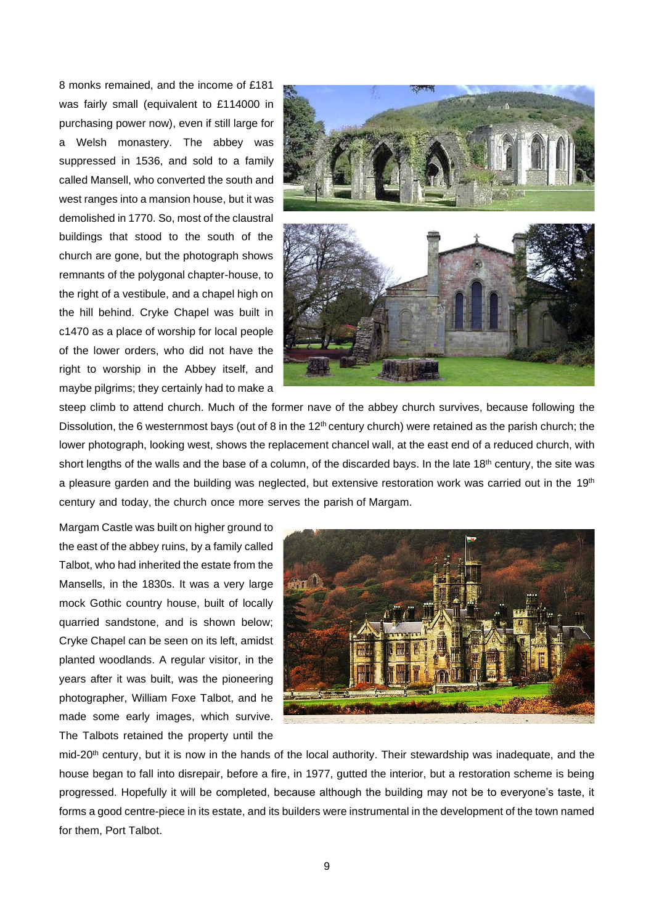8 monks remained, and the income of £181 was fairly small (equivalent to £114000 in purchasing power now), even if still large for a Welsh monastery. The abbey was suppressed in 1536, and sold to a family called Mansell, who converted the south and west ranges into a mansion house, but it was demolished in 1770. So, most of the claustral buildings that stood to the south of the church are gone, but the photograph shows remnants of the polygonal chapter-house, to the right of a vestibule, and a chapel high on the hill behind. Cryke Chapel was built in c1470 as a place of worship for local people of the lower orders, who did not have the right to worship in the Abbey itself, and maybe pilgrims; they certainly had to make a



steep climb to attend church. Much of the former nave of the abbey church survives, because following the Dissolution, the 6 westernmost bays (out of 8 in the 12<sup>th</sup> century church) were retained as the parish church; the lower photograph, looking west, shows the replacement chancel wall, at the east end of a reduced church, with short lengths of the walls and the base of a column, of the discarded bays. In the late 18<sup>th</sup> century, the site was a pleasure garden and the building was neglected, but extensive restoration work was carried out in the 19<sup>th</sup> century and today, the church once more serves the parish of Margam.

Margam Castle was built on higher ground to the east of the abbey ruins, by a family called Talbot, who had inherited the estate from the Mansells, in the 1830s. It was a very large mock Gothic country house, built of locally quarried sandstone, and is shown below; Cryke Chapel can be seen on its left, amidst planted woodlands. A regular visitor, in the years after it was built, was the pioneering photographer, William Foxe Talbot, and he made some early images, which survive. The Talbots retained the property until the



mid-20<sup>th</sup> century, but it is now in the hands of the local authority. Their stewardship was inadequate, and the house began to fall into disrepair, before a fire, in 1977, gutted the interior, but a restoration scheme is being progressed. Hopefully it will be completed, because although the building may not be to everyone's taste, it forms a good centre-piece in its estate, and its builders were instrumental in the development of the town named for them, Port Talbot.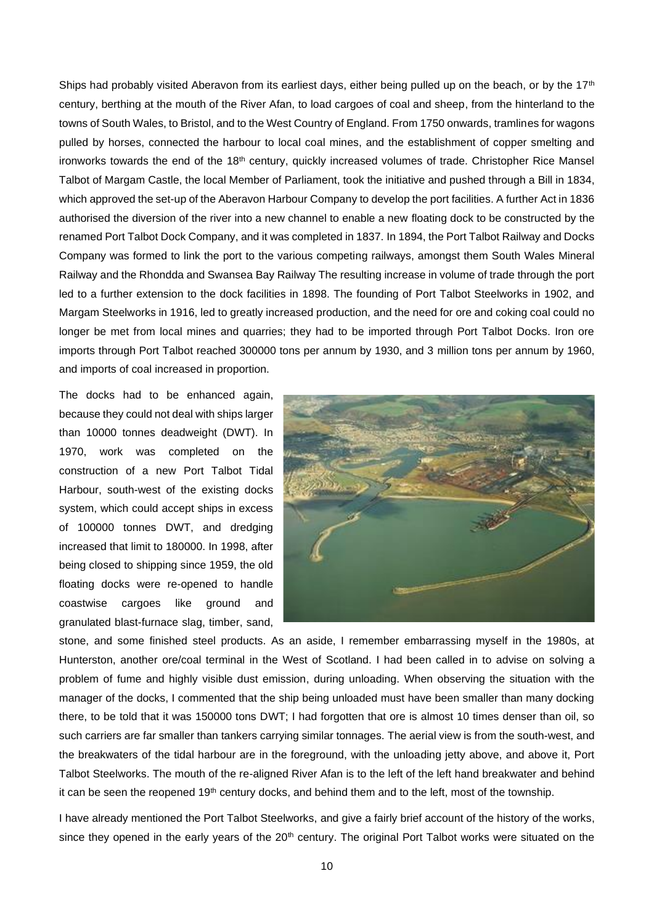Ships had probably visited Aberavon from its earliest days, either being pulled up on the beach, or by the 17<sup>th</sup> century, berthing at the mouth of the River Afan, to load cargoes of coal and sheep, from the hinterland to the towns of South Wales, to Bristol, and to the West Country of England. From 1750 onwards, tramlines for wagons pulled by horses, connected the harbour to local coal mines, and the establishment of copper smelting and ironworks towards the end of the 18<sup>th</sup> century, quickly increased volumes of trade. Christopher Rice Mansel Talbot of Margam Castle, the local Member of Parliament, took the initiative and pushed through a Bill in 1834, which approved the set-up of the Aberavon Harbour Company to develop the port facilities. A further Act in 1836 authorised the diversion of the river into a new channel to enable a new floating dock to be constructed by the renamed Port Talbot Dock Company, and it was completed in 1837. In 1894, the Port Talbot Railway and Docks Company was formed to link the port to the various competing railways, amongst them South Wales Mineral Railway and the Rhondda and Swansea Bay Railway The resulting increase in volume of trade through the port led to a further extension to the dock facilities in 1898. The founding of Port Talbot Steelworks in 1902, and Margam Steelworks in 1916, led to greatly increased production, and the need for ore and coking coal could no longer be met from local mines and quarries; they had to be imported through Port Talbot Docks. Iron ore imports through Port Talbot reached 300000 tons per annum by 1930, and 3 million tons per annum by 1960, and imports of coal increased in proportion.

The docks had to be enhanced again, because they could not deal with ships larger than 10000 tonnes deadweight (DWT). In 1970, work was completed on the construction of a new Port Talbot Tidal Harbour, south-west of the existing docks system, which could accept ships in excess of 100000 tonnes DWT, and dredging increased that limit to 180000. In 1998, after being closed to shipping since 1959, the old floating docks were re-opened to handle coastwise cargoes like ground and granulated blast-furnace slag, timber, sand,



stone, and some finished steel products. As an aside, I remember embarrassing myself in the 1980s, at Hunterston, another ore/coal terminal in the West of Scotland. I had been called in to advise on solving a problem of fume and highly visible dust emission, during unloading. When observing the situation with the manager of the docks, I commented that the ship being unloaded must have been smaller than many docking there, to be told that it was 150000 tons DWT; I had forgotten that ore is almost 10 times denser than oil, so such carriers are far smaller than tankers carrying similar tonnages. The aerial view is from the south-west, and the breakwaters of the tidal harbour are in the foreground, with the unloading jetty above, and above it, Port Talbot Steelworks. The mouth of the re-aligned River Afan is to the left of the left hand breakwater and behind it can be seen the reopened  $19<sup>th</sup>$  century docks, and behind them and to the left, most of the township.

I have already mentioned the Port Talbot Steelworks, and give a fairly brief account of the history of the works, since they opened in the early years of the 20<sup>th</sup> century. The original Port Talbot works were situated on the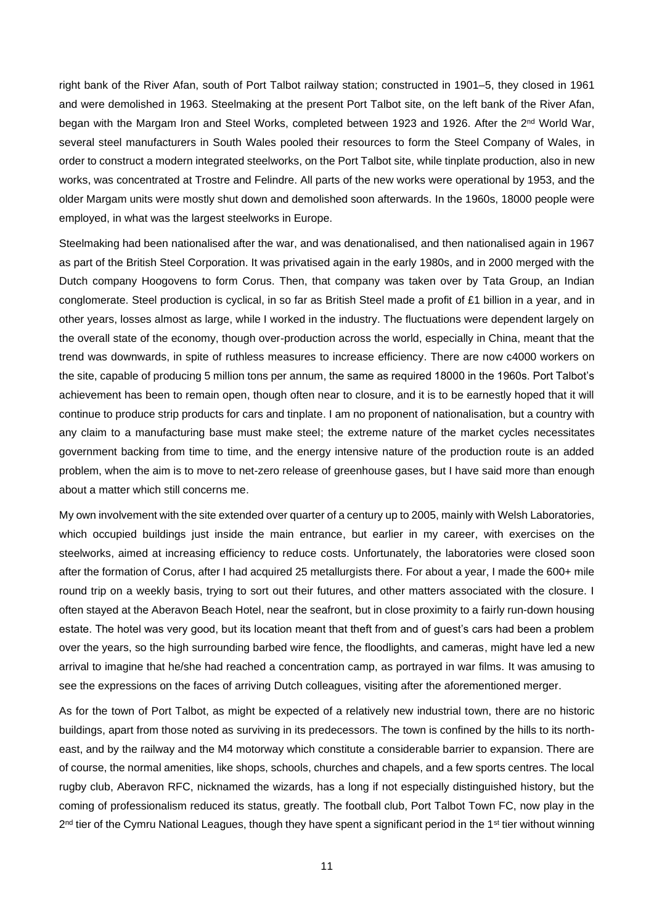right bank of the River Afan, south of Port Talbot railway station; constructed in 1901–5, they closed in 1961 and were demolished in 1963. Steelmaking at the present Port Talbot site, on the left bank of the River Afan, began with the Margam Iron and Steel Works, completed between 1923 and 1926. After the 2<sup>nd</sup> World War, several steel manufacturers in South Wales pooled their resources to form the Steel Company of Wales, in order to construct a modern integrated steelworks, on the Port Talbot site, while tinplate production, also in new works, was concentrated at Trostre and Felindre. All parts of the new works were operational by 1953, and the older Margam units were mostly shut down and demolished soon afterwards. In the 1960s, 18000 people were employed, in what was the largest steelworks in Europe.

Steelmaking had been nationalised after the war, and was denationalised, and then nationalised again in 1967 as part of the British Steel Corporation. It was privatised again in the early 1980s, and in 2000 merged with the Dutch company Hoogovens to form Corus. Then, that company was taken over by Tata Group, an Indian conglomerate. Steel production is cyclical, in so far as British Steel made a profit of £1 billion in a year, and in other years, losses almost as large, while I worked in the industry. The fluctuations were dependent largely on the overall state of the economy, though over-production across the world, especially in China, meant that the trend was downwards, in spite of ruthless measures to increase efficiency. There are now c4000 workers on the site, capable of producing 5 million tons per annum, the same as required 18000 in the 1960s. Port Talbot's achievement has been to remain open, though often near to closure, and it is to be earnestly hoped that it will continue to produce strip products for cars and tinplate. I am no proponent of nationalisation, but a country with any claim to a manufacturing base must make steel; the extreme nature of the market cycles necessitates government backing from time to time, and the energy intensive nature of the production route is an added problem, when the aim is to move to net-zero release of greenhouse gases, but I have said more than enough about a matter which still concerns me.

My own involvement with the site extended over quarter of a century up to 2005, mainly with Welsh Laboratories, which occupied buildings just inside the main entrance, but earlier in my career, with exercises on the steelworks, aimed at increasing efficiency to reduce costs. Unfortunately, the laboratories were closed soon after the formation of Corus, after I had acquired 25 metallurgists there. For about a year, I made the 600+ mile round trip on a weekly basis, trying to sort out their futures, and other matters associated with the closure. I often stayed at the Aberavon Beach Hotel, near the seafront, but in close proximity to a fairly run-down housing estate. The hotel was very good, but its location meant that theft from and of guest's cars had been a problem over the years, so the high surrounding barbed wire fence, the floodlights, and cameras, might have led a new arrival to imagine that he/she had reached a concentration camp, as portrayed in war films. It was amusing to see the expressions on the faces of arriving Dutch colleagues, visiting after the aforementioned merger.

As for the town of Port Talbot, as might be expected of a relatively new industrial town, there are no historic buildings, apart from those noted as surviving in its predecessors. The town is confined by the hills to its northeast, and by the railway and the M4 motorway which constitute a considerable barrier to expansion. There are of course, the normal amenities, like shops, schools, churches and chapels, and a few sports centres. The local rugby club, Aberavon RFC, nicknamed the wizards, has a long if not especially distinguished history, but the coming of professionalism reduced its status, greatly. The football club, Port Talbot Town FC, now play in the 2<sup>nd</sup> tier of the Cymru National Leagues, though they have spent a significant period in the 1<sup>st</sup> tier without winning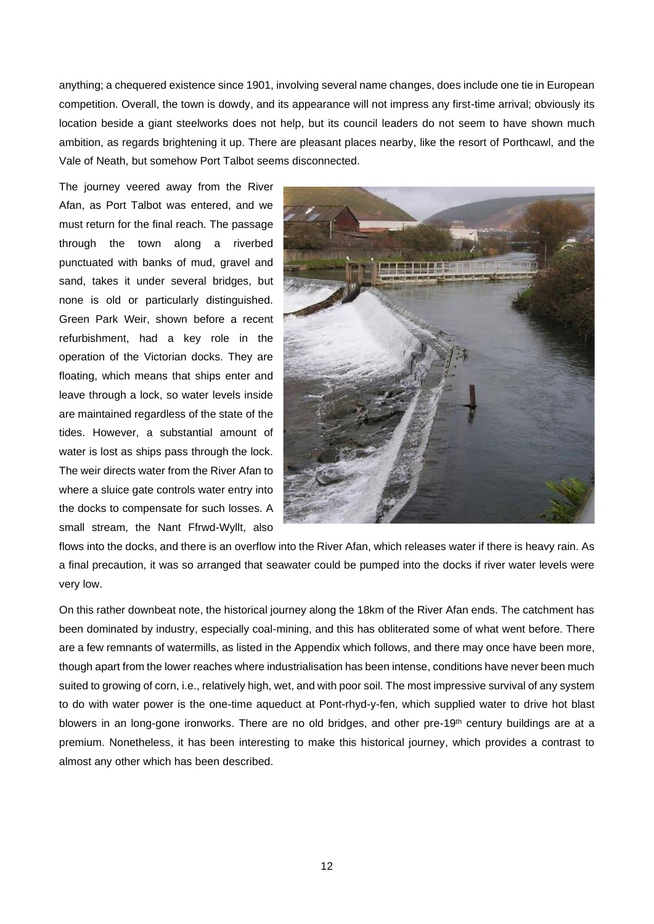anything; a chequered existence since 1901, involving several name changes, does include one tie in European competition. Overall, the town is dowdy, and its appearance will not impress any first-time arrival; obviously its location beside a giant steelworks does not help, but its council leaders do not seem to have shown much ambition, as regards brightening it up. There are pleasant places nearby, like the resort of Porthcawl, and the Vale of Neath, but somehow Port Talbot seems disconnected.

The journey veered away from the River Afan, as Port Talbot was entered, and we must return for the final reach. The passage through the town along a riverbed punctuated with banks of mud, gravel and sand, takes it under several bridges, but none is old or particularly distinguished. Green Park Weir, shown before a recent refurbishment, had a key role in the operation of the Victorian docks. They are floating, which means that ships enter and leave through a lock, so water levels inside are maintained regardless of the state of the tides. However, a substantial amount of water is lost as ships pass through the lock. The weir directs water from the River Afan to where a sluice gate controls water entry into the docks to compensate for such losses. A small stream, the Nant Ffrwd-Wyllt, also



flows into the docks, and there is an overflow into the River Afan, which releases water if there is heavy rain. As a final precaution, it was so arranged that seawater could be pumped into the docks if river water levels were very low.

On this rather downbeat note, the historical journey along the 18km of the River Afan ends. The catchment has been dominated by industry, especially coal-mining, and this has obliterated some of what went before. There are a few remnants of watermills, as listed in the Appendix which follows, and there may once have been more, though apart from the lower reaches where industrialisation has been intense, conditions have never been much suited to growing of corn, i.e., relatively high, wet, and with poor soil. The most impressive survival of any system to do with water power is the one-time aqueduct at Pont-rhyd-y-fen, which supplied water to drive hot blast blowers in an long-gone ironworks. There are no old bridges, and other pre-19<sup>th</sup> century buildings are at a premium. Nonetheless, it has been interesting to make this historical journey, which provides a contrast to almost any other which has been described.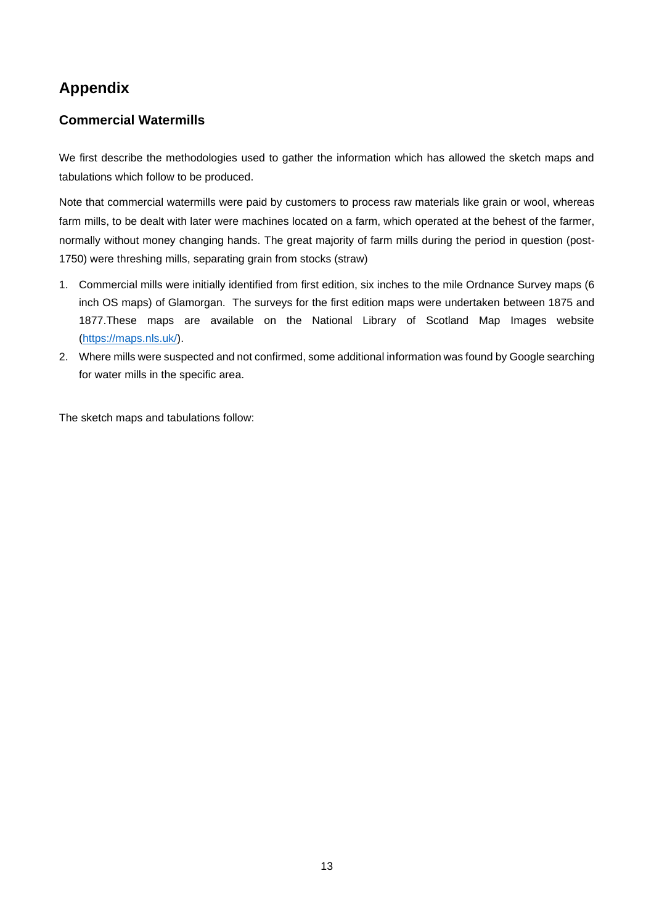# **Appendix**

# **Commercial Watermills**

We first describe the methodologies used to gather the information which has allowed the sketch maps and tabulations which follow to be produced.

Note that commercial watermills were paid by customers to process raw materials like grain or wool, whereas farm mills, to be dealt with later were machines located on a farm, which operated at the behest of the farmer, normally without money changing hands. The great majority of farm mills during the period in question (post-1750) were threshing mills, separating grain from stocks (straw)

- 1. Commercial mills were initially identified from first edition, six inches to the mile Ordnance Survey maps (6 inch OS maps) of Glamorgan. The surveys for the first edition maps were undertaken between 1875 and 1877.These maps are available on the National Library of Scotland Map Images website [\(https://maps.nls.uk/\)](https://maps.nls.uk/).
- 2. Where mills were suspected and not confirmed, some additional information was found by Google searching for water mills in the specific area.

The sketch maps and tabulations follow: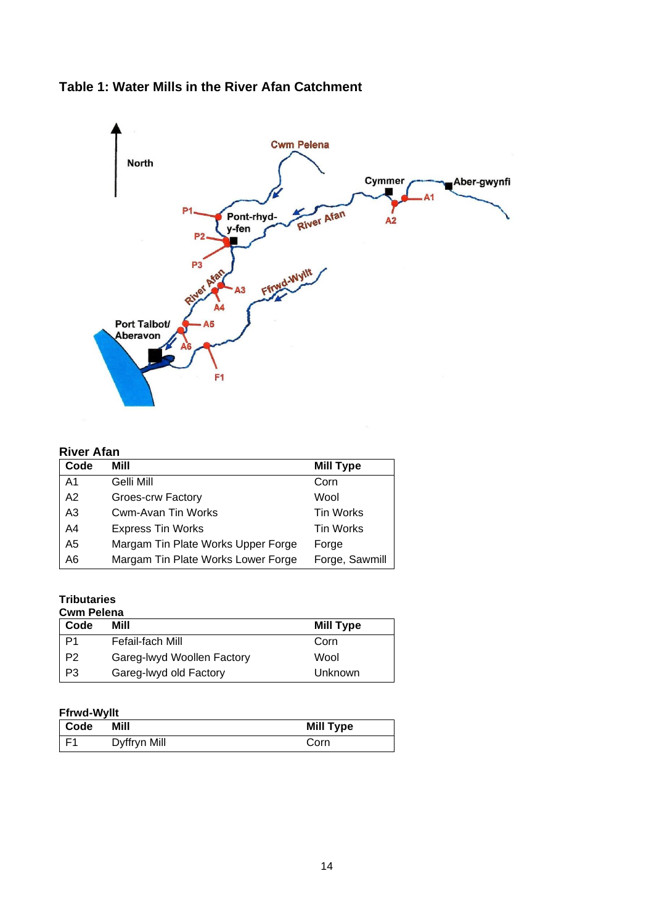



# **River Afan**

| Code           | Mill                               | <b>Mill Type</b> |
|----------------|------------------------------------|------------------|
| A1             | Gelli Mill                         | Corn             |
| A2             | Groes-crw Factory                  | Wool             |
| A3             | <b>Cwm-Avan Tin Works</b>          | Tin Works        |
| A4             | <b>Express Tin Works</b>           | Tin Works        |
| A <sub>5</sub> | Margam Tin Plate Works Upper Forge | Forge            |
| A <sub>6</sub> | Margam Tin Plate Works Lower Forge | Forge, Sawmill   |

# **Tributaries**

| <b>Cwm Pelena</b> |                            |                  |  |  |  |
|-------------------|----------------------------|------------------|--|--|--|
| Code              | Mill                       | <b>Mill Type</b> |  |  |  |
| P <sub>1</sub>    | Fefail-fach Mill           | Corn             |  |  |  |
| P <sub>2</sub>    | Gareg-lwyd Woollen Factory | Wool             |  |  |  |
| P3                | Gareg-lwyd old Factory     | Unknown          |  |  |  |

# **Ffrwd-Wyllt**

| <b>Code</b> | Mill         | <b>Mill Type</b> |
|-------------|--------------|------------------|
| <b>E</b> 1  | Dyffryn Mill | orn              |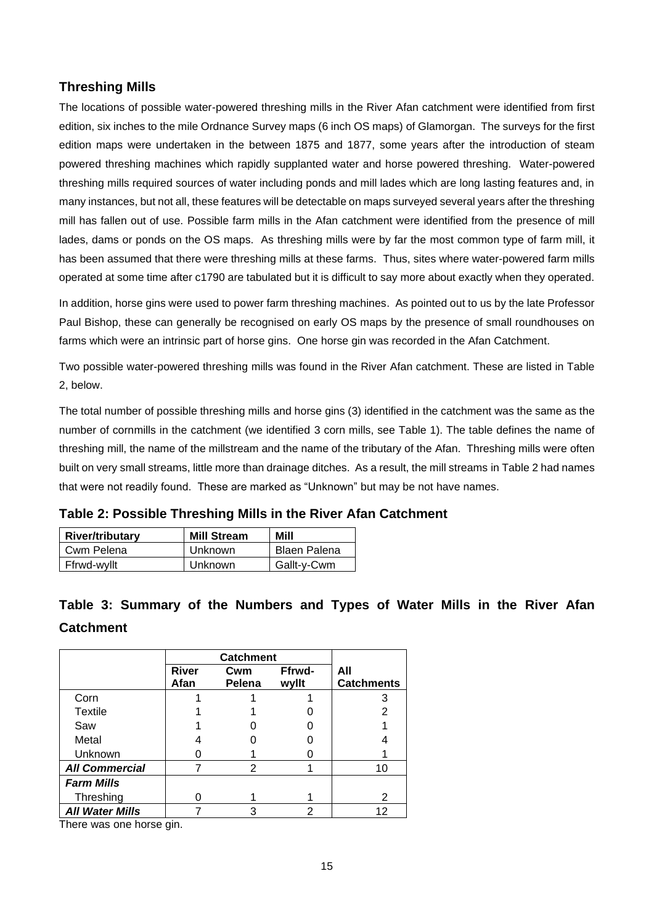# **Threshing Mills**

The locations of possible water-powered threshing mills in the River Afan catchment were identified from first edition, six inches to the mile Ordnance Survey maps (6 inch OS maps) of Glamorgan. The surveys for the first edition maps were undertaken in the between 1875 and 1877, some years after the introduction of steam powered threshing machines which rapidly supplanted water and horse powered threshing. Water-powered threshing mills required sources of water including ponds and mill lades which are long lasting features and, in many instances, but not all, these features will be detectable on maps surveyed several years after the threshing mill has fallen out of use. Possible farm mills in the Afan catchment were identified from the presence of mill lades, dams or ponds on the OS maps. As threshing mills were by far the most common type of farm mill, it has been assumed that there were threshing mills at these farms. Thus, sites where water-powered farm mills operated at some time after c1790 are tabulated but it is difficult to say more about exactly when they operated.

In addition, horse gins were used to power farm threshing machines. As pointed out to us by the late Professor Paul Bishop, these can generally be recognised on early OS maps by the presence of small roundhouses on farms which were an intrinsic part of horse gins. One horse gin was recorded in the Afan Catchment.

Two possible water-powered threshing mills was found in the River Afan catchment. These are listed in Table 2, below.

The total number of possible threshing mills and horse gins (3) identified in the catchment was the same as the number of cornmills in the catchment (we identified 3 corn mills, see Table 1). The table defines the name of threshing mill, the name of the millstream and the name of the tributary of the Afan. Threshing mills were often built on very small streams, little more than drainage ditches. As a result, the mill streams in Table 2 had names that were not readily found. These are marked as "Unknown" but may be not have names.

| Table 2: Possible Threshing Mills in the River Afan Catchment |  |  |  |  |  |
|---------------------------------------------------------------|--|--|--|--|--|
|---------------------------------------------------------------|--|--|--|--|--|

| <b>River/tributary</b> | <b>Mill Stream</b> | Mill         |
|------------------------|--------------------|--------------|
| Cwm Pelena             | Unknown            | Blaen Palena |
| Ffrwd-wyllt            | Unknown            | Gallt-y-Cwm  |

# **Table 3: Summary of the Numbers and Types of Water Mills in the River Afan Catchment**

|                        | River<br>Afan | Cwm<br>Pelena | Ffrwd-<br>wyllt | All<br><b>Catchments</b> |
|------------------------|---------------|---------------|-----------------|--------------------------|
| Corn                   |               |               |                 | 3                        |
| Textile                |               |               |                 | 2                        |
| Saw                    |               |               |                 |                          |
| Metal                  |               |               |                 |                          |
| Unknown                |               |               |                 |                          |
| <b>All Commercial</b>  |               | 2             |                 | 10                       |
| <b>Farm Mills</b>      |               |               |                 |                          |
| Threshing              |               |               |                 | $\overline{2}$           |
| <b>All Water Mills</b> |               |               | 2               | 12                       |

There was one horse gin.